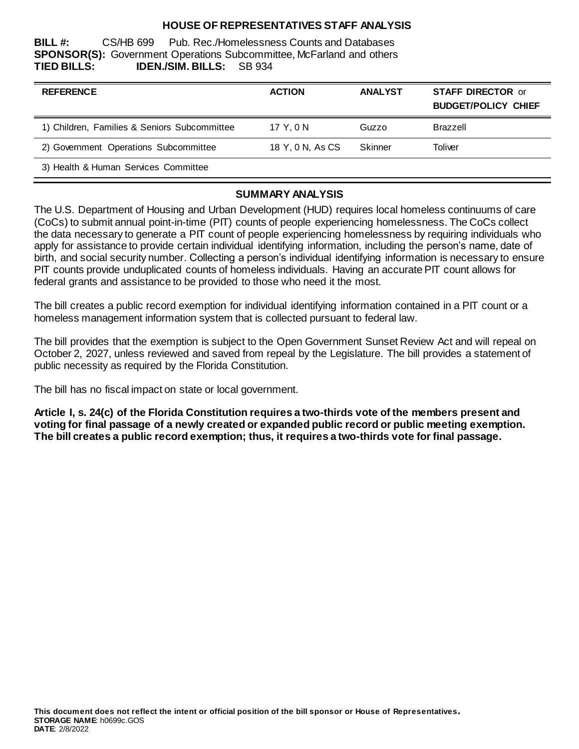## **HOUSE OF REPRESENTATIVES STAFF ANALYSIS**

**BILL #:** CS/HB 699 Pub. Rec./Homelessness Counts and Databases **SPONSOR(S):** Government Operations Subcommittee, McFarland and others **TIED BILLS: IDEN./SIM. BILLS:** SB 934

| <b>REFERENCE</b>                             | <b>ACTION</b>    | <b>ANALYST</b> | <b>STAFF DIRECTOR or</b><br><b>BUDGET/POLICY CHIEF</b> |
|----------------------------------------------|------------------|----------------|--------------------------------------------------------|
| 1) Children, Families & Seniors Subcommittee | 17 Y.ON          | Guzzo          | Brazzell                                               |
| 2) Government Operations Subcommittee        | 18 Y, 0 N, As CS | Skinner        | Toliver                                                |
| 3) Health & Human Services Committee         |                  |                |                                                        |

#### **SUMMARY ANALYSIS**

The U.S. Department of Housing and Urban Development (HUD) requires local homeless continuums of care (CoCs) to submit annual point-in-time (PIT) counts of people experiencing homelessness. The CoCs collect the data necessary to generate a PIT count of people experiencing homelessness by requiring individuals who apply for assistance to provide certain individual identifying information, including the person's name, date of birth, and social security number. Collecting a person's individual identifying information is necessary to ensure PIT counts provide unduplicated counts of homeless individuals. Having an accurate PIT count allows for federal grants and assistance to be provided to those who need it the most.

The bill creates a public record exemption for individual identifying information contained in a PIT count or a homeless management information system that is collected pursuant to federal law.

The bill provides that the exemption is subject to the Open Government Sunset Review Act and will repeal on October 2, 2027, unless reviewed and saved from repeal by the Legislature. The bill provides a statement of public necessity as required by the Florida Constitution.

The bill has no fiscal impact on state or local government.

**Article I, s. 24(c) of the Florida Constitution requires a two-thirds vote of the members present and voting for final passage of a newly created or expanded public record or public meeting exemption. The bill creates a public record exemption; thus, it requires a two-thirds vote for final passage.**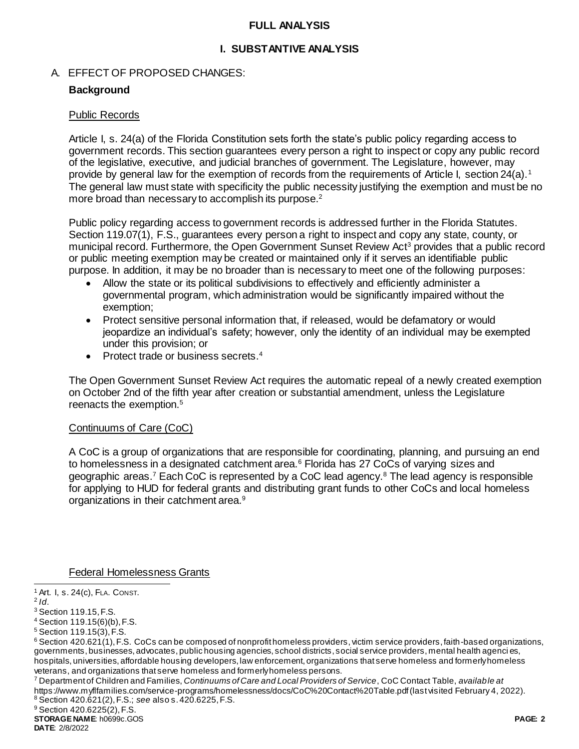### **FULL ANALYSIS**

## **I. SUBSTANTIVE ANALYSIS**

### A. EFFECT OF PROPOSED CHANGES:

### **Background**

#### Public Records

Article I, s. 24(a) of the Florida Constitution sets forth the state's public policy regarding access to government records. This section guarantees every person a right to inspect or copy any public record of the legislative, executive, and judicial branches of government. The Legislature, however, may provide by general law for the exemption of records from the requirements of Article I, section 24(a).<sup>1</sup> The general law must state with specificity the public necessity justifying the exemption and must be no more broad than necessary to accomplish its purpose.<sup>2</sup>

Public policy regarding access to government records is addressed further in the Florida Statutes. Section 119.07(1), F.S., guarantees every person a right to inspect and copy any state, county, or municipal record. Furthermore, the Open Government Sunset Review Act<sup>3</sup> provides that a public record or public meeting exemption may be created or maintained only if it serves an identifiable public purpose. In addition, it may be no broader than is necessary to meet one of the following purposes:

- Allow the state or its political subdivisions to effectively and efficiently administer a governmental program, which administration would be significantly impaired without the exemption;
- Protect sensitive personal information that, if released, would be defamatory or would jeopardize an individual's safety; however, only the identity of an individual may be exempted under this provision; or
- Protect trade or business secrets.<sup>4</sup>

The Open Government Sunset Review Act requires the automatic repeal of a newly created exemption on October 2nd of the fifth year after creation or substantial amendment, unless the Legislature reenacts the exemption.<sup>5</sup>

## Continuums of Care (CoC)

A CoC is a group of organizations that are responsible for coordinating, planning, and pursuing an end to homelessness in a designated catchment area.<sup>6</sup> Florida has 27 CoCs of varying sizes and geographic areas.<sup>7</sup> Each CoC is represented by a CoC lead agency. $8$  The lead agency is responsible for applying to HUD for federal grants and distributing grant funds to other CoCs and local homeless organizations in their catchment area.<sup>9</sup>

Federal Homelessness Grants

l

<sup>7</sup> Department of Children and Families, *Continuums of Care and Local Providers of Service*, CoC Contact Table, *available at* https://www.myflfamilies.com/service-programs/homelessness/docs/CoC%20Contact%20Table.pdf (last visited February 4, 2022). <sup>8</sup> Section 420.621(2), F.S.; *see* also s. 420.6225, F.S.

<sup>9</sup> Section 420.6225(2), F.S.

**STORAGE NAME**: h0699c.GOS **PAGE: 2**

<sup>1</sup> Art. I, s. 24(c), FLA. CONST.

<sup>2</sup> *Id*.

<sup>3</sup> Section 119.15, F.S.

<sup>4</sup> Section 119.15(6)(b), F.S.

<sup>5</sup> Section 119.15(3), F.S.

 $6$  Section 420.621(1), F.S. CoCs can be composed of nonprofit homeless providers, victim service providers, faith-based organizations, governments, businesses, advocates, public housing agencies, school districts, social service providers, mental health agenci es, hospitals, universities, affordable housing developers, law enforcement, organizations that serve homeless and formerly homeless veterans, and organizations that serve homeless and formerly homeless persons.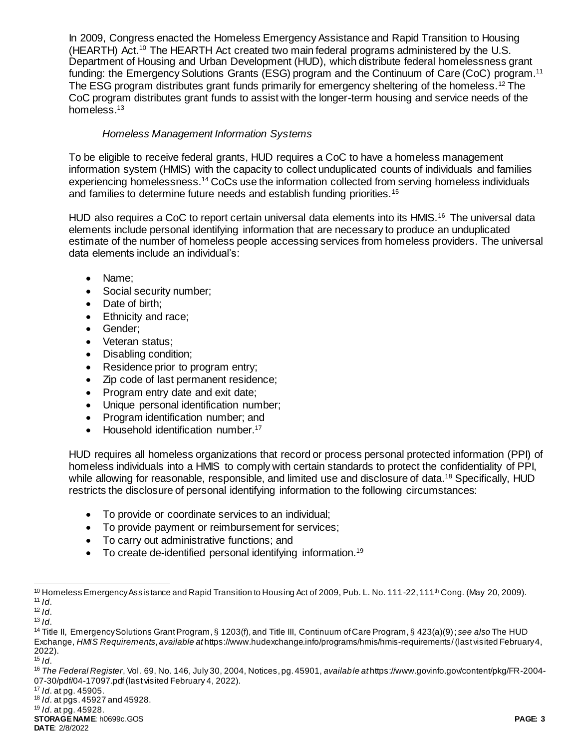In 2009, Congress enacted the Homeless Emergency Assistance and Rapid Transition to Housing (HEARTH) Act.<sup>10</sup> The HEARTH Act created two main federal programs administered by the U.S. Department of Housing and Urban Development (HUD), which distribute federal homelessness grant funding: the Emergency Solutions Grants (ESG) program and the Continuum of Care (CoC) program.<sup>11</sup> The ESG program distributes grant funds primarily for emergency sheltering of the homeless.<sup>12</sup> The CoC program distributes grant funds to assist with the longer-term housing and service needs of the homeless.<sup>13</sup>

## *Homeless Management Information Systems*

To be eligible to receive federal grants, HUD requires a CoC to have a homeless management information system (HMIS) with the capacity to collect unduplicated counts of individuals and families experiencing homelessness.<sup>14</sup> CoCs use the information collected from serving homeless individuals and families to determine future needs and establish funding priorities.<sup>15</sup>

HUD also requires a CoC to report certain universal data elements into its HMIS.<sup>16</sup> The universal data elements include personal identifying information that are necessary to produce an unduplicated estimate of the number of homeless people accessing services from homeless providers. The universal data elements include an individual's:

- Name:
- Social security number;
- Date of birth:
- Ethnicity and race;
- Gender;
- Veteran status:
- Disabling condition;
- Residence prior to program entry;
- Zip code of last permanent residence;
- Program entry date and exit date;
- Unique personal identification number;
- Program identification number; and
- Household identification number.<sup>17</sup>

HUD requires all homeless organizations that record or process personal protected information (PPI) of homeless individuals into a HMIS to comply with certain standards to protect the confidentiality of PPI, while allowing for reasonable, responsible, and limited use and disclosure of data.<sup>18</sup> Specifically, HUD restricts the disclosure of personal identifying information to the following circumstances:

- To provide or coordinate services to an individual;
- To provide payment or reimbursement for services;
- To carry out administrative functions; and
- To create de-identified personal identifying information.<sup>19</sup>

l

<sup>10</sup> Homeless Emergency Assistance and Rapid Transition to Housing Act of 2009, Pub. L. No. 111-22, 111<sup>th</sup> Cong. (May 20, 2009). <sup>11</sup> *Id*.

<sup>12</sup> *Id*.

 $13$  *Id.* 

<sup>14</sup> Title II, Emergency Solutions Grant Program, § 1203(f), and Title III, Continuum of Care Program, § 423(a)(9); *see also* The HUD Exchange, *HMIS Requirements*, *available at* https://www.hudexchange.info/programs/hmis/hmis-requirements/(last visited February 4, 2022).

<sup>15</sup> *Id*.

<sup>16</sup> *The Federal Register*, Vol. 69, No. 146, July 30, 2004, Notices, pg. 45901, *available at* https://www.govinfo.gov/content/pkg/FR-2004- 07-30/pdf/04-17097.pdf(last visited February 4, 2022).

<sup>17</sup> *Id*. at pg. 45905.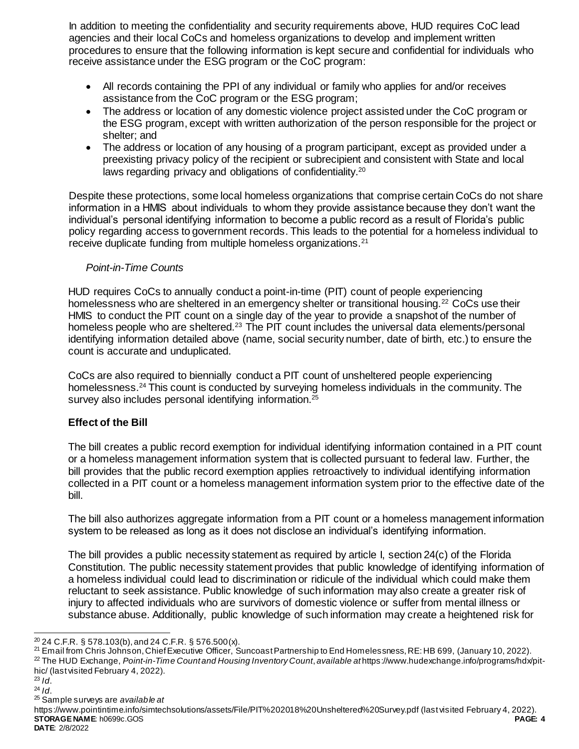In addition to meeting the confidentiality and security requirements above, HUD requires CoC lead agencies and their local CoCs and homeless organizations to develop and implement written procedures to ensure that the following information is kept secure and confidential for individuals who receive assistance under the ESG program or the CoC program:

- All records containing the PPI of any individual or family who applies for and/or receives assistance from the CoC program or the ESG program;
- The address or location of any domestic violence project assisted under the CoC program or the ESG program, except with written authorization of the person responsible for the project or shelter; and
- The address or location of any housing of a program participant, except as provided under a preexisting privacy policy of the recipient or subrecipient and consistent with State and local laws regarding privacy and obligations of confidentiality.<sup>20</sup>

Despite these protections, some local homeless organizations that comprise certain CoCs do not share information in a HMIS about individuals to whom they provide assistance because they don't want the individual's personal identifying information to become a public record as a result of Florida's public policy regarding access to government records. This leads to the potential for a homeless individual to receive duplicate funding from multiple homeless organizations.<sup>21</sup>

## *Point-in-Time Counts*

HUD requires CoCs to annually conduct a point-in-time (PIT) count of people experiencing homelessness who are sheltered in an emergency shelter or transitional housing.<sup>22</sup> CoCs use their HMIS to conduct the PIT count on a single day of the year to provide a snapshot of the number of homeless people who are sheltered.<sup>23</sup> The PIT count includes the universal data elements/personal identifying information detailed above (name, social security number, date of birth, etc.) to ensure the count is accurate and unduplicated.

CoCs are also required to biennially conduct a PIT count of unsheltered people experiencing homelessness.<sup>24</sup> This count is conducted by surveying homeless individuals in the community. The survey also includes personal identifying information.<sup>25</sup>

# **Effect of the Bill**

The bill creates a public record exemption for individual identifying information contained in a PIT count or a homeless management information system that is collected pursuant to federal law. Further, the bill provides that the public record exemption applies retroactively to individual identifying information collected in a PIT count or a homeless management information system prior to the effective date of the bill.

The bill also authorizes aggregate information from a PIT count or a homeless management information system to be released as long as it does not disclose an individual's identifying information.

The bill provides a public necessity statement as required by article I, section 24(c) of the Florida Constitution. The public necessity statement provides that public knowledge of identifying information of a homeless individual could lead to discrimination or ridicule of the individual which could make them reluctant to seek assistance. Public knowledge of such information may also create a greater risk of injury to affected individuals who are survivors of domestic violence or suffer from mental illness or substance abuse. Additionally, public knowledge of such information may create a heightened risk for

- <sup>23</sup> *Id*.
- <sup>24</sup> *Id*.

<sup>25</sup> Sample surveys are *available at*

**STORAGE NAME**: h0699c.GOS **PAGE: 4 DATE**: 2/8/2022 https://www.pointintime.info/simtechsolutions/assets/File/PIT%202018%20Unsheltered%20Survey.pdf (last visited February 4, 2022).

l  $20$  24 C.F.R. § 578.103(b), and 24 C.F.R. § 576.500(x).

<sup>21</sup> Email from Chris Johnson, Chief Executive Officer, Suncoast Partnership to End Homelessness, RE: HB 699, (January 10, 2022). <sup>22</sup> The HUD Exchange, *Point-in-Time Count and Housing Inventory Count*, *available at* https://www.hudexchange.info/programs/hdx/pithic/ (last visited February 4, 2022).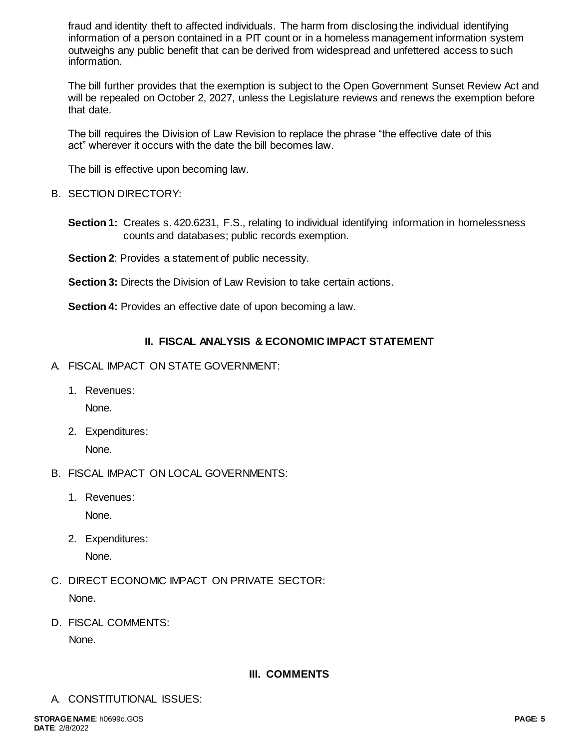fraud and identity theft to affected individuals. The harm from disclosing the individual identifying information of a person contained in a PIT count or in a homeless management information system outweighs any public benefit that can be derived from widespread and unfettered access to such information.

The bill further provides that the exemption is subject to the Open Government Sunset Review Act and will be repealed on October 2, 2027, unless the Legislature reviews and renews the exemption before that date.

The bill requires the Division of Law Revision to replace the phrase "the effective date of this act" wherever it occurs with the date the bill becomes law.

The bill is effective upon becoming law.

## B. SECTION DIRECTORY:

- **Section 1:** Creates s. 420.6231, F.S., relating to individual identifying information in homelessness counts and databases; public records exemption.
- **Section 2: Provides a statement of public necessity.**

**Section 3:** Directs the Division of Law Revision to take certain actions.

**Section 4:** Provides an effective date of upon becoming a law.

# **II. FISCAL ANALYSIS & ECONOMIC IMPACT STATEMENT**

- A. FISCAL IMPACT ON STATE GOVERNMENT:
	- 1. Revenues:

None.

2. Expenditures:

None.

- B. FISCAL IMPACT ON LOCAL GOVERNMENTS:
	- 1. Revenues:

None.

2. Expenditures:

None.

- C. DIRECT ECONOMIC IMPACT ON PRIVATE SECTOR: None.
- D. FISCAL COMMENTS:

None.

## **III. COMMENTS**

A. CONSTITUTIONAL ISSUES: